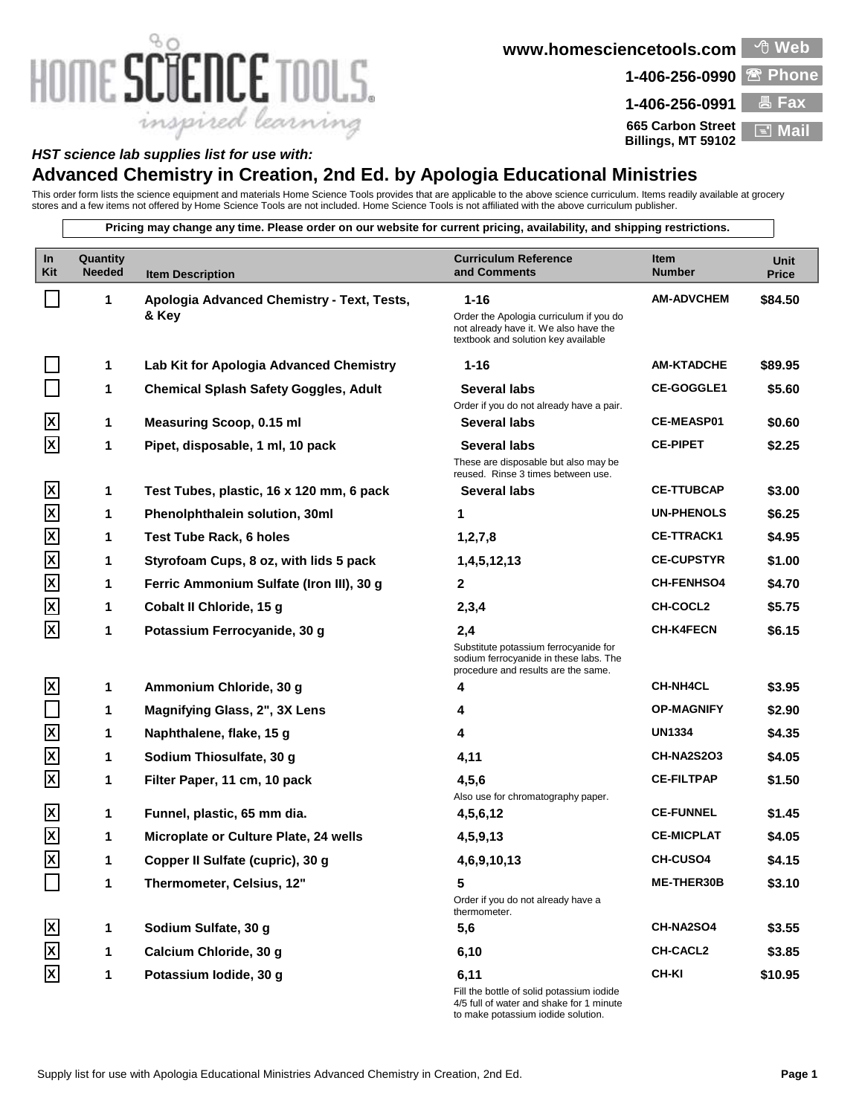## HOME SCIENCE TOOLS. inspired learning

**www.homesciencetools.com Web**

**1-406-256-0990 Phone**



## *HST science lab supplies list for use with:*

## **Advanced Chemistry in Creation, 2nd Ed. by Apologia Educational Ministries**

This order form lists the science equipment and materials Home Science Tools provides that are applicable to the above science curriculum. Items readily available at grocery stores and a few items not offered by Home Science Tools are not included. Home Science Tools is not affiliated with the above curriculum publisher.

**Pricing may change any time. Please order on our website for current pricing, availability, and shipping restrictions.**

| $\ln$<br>Kit            | Quantity<br><b>Needed</b> | <b>Item Description</b>                      | <b>Curriculum Reference</b><br>and Comments                                                                                 | <b>Item</b><br><b>Number</b> | Unit<br><b>Price</b> |
|-------------------------|---------------------------|----------------------------------------------|-----------------------------------------------------------------------------------------------------------------------------|------------------------------|----------------------|
|                         | 1                         | Apologia Advanced Chemistry - Text, Tests,   | $1 - 16$                                                                                                                    | <b>AM-ADVCHEM</b>            | \$84.50              |
|                         |                           | & Key                                        | Order the Apologia curriculum if you do<br>not already have it. We also have the<br>textbook and solution key available     |                              |                      |
|                         | 1                         | Lab Kit for Apologia Advanced Chemistry      | $1 - 16$                                                                                                                    | <b>AM-KTADCHE</b>            | \$89.95              |
|                         | 1                         | <b>Chemical Splash Safety Goggles, Adult</b> | Several labs                                                                                                                | <b>CE-GOGGLE1</b>            | \$5.60               |
|                         |                           |                                              | Order if you do not already have a pair.                                                                                    |                              |                      |
| X                       | 1                         | <b>Measuring Scoop, 0.15 ml</b>              | Several labs                                                                                                                | <b>CE-MEASP01</b>            | \$0.60               |
| X                       | 1                         | Pipet, disposable, 1 ml, 10 pack             | <b>Several labs</b>                                                                                                         | <b>CE-PIPET</b>              | \$2.25               |
|                         |                           |                                              | These are disposable but also may be<br>reused. Rinse 3 times between use.                                                  |                              |                      |
| ΙxΙ                     | 1                         | Test Tubes, plastic, 16 x 120 mm, 6 pack     | Several labs                                                                                                                | <b>CE-TTUBCAP</b>            | \$3.00               |
| $\overline{\mathbf{X}}$ | 1                         | Phenolphthalein solution, 30ml               | 1                                                                                                                           | <b>UN-PHENOLS</b>            | \$6.25               |
| $\overline{\mathsf{X}}$ | 1                         | Test Tube Rack, 6 holes                      | 1, 2, 7, 8                                                                                                                  | <b>CE-TTRACK1</b>            | \$4.95               |
| $\overline{\mathsf{x}}$ | 1                         | Styrofoam Cups, 8 oz, with lids 5 pack       | 1,4,5,12,13                                                                                                                 | <b>CE-CUPSTYR</b>            | \$1.00               |
| $\overline{\mathsf{X}}$ | 1                         | Ferric Ammonium Sulfate (Iron III), 30 g     | $\mathbf{2}$                                                                                                                | <b>CH-FENHSO4</b>            | \$4.70               |
| $\overline{\mathbf{X}}$ | 1                         | Cobalt II Chloride, 15 g                     | 2,3,4                                                                                                                       | CH-COCL2                     | \$5.75               |
| ΙX                      | 1                         | Potassium Ferrocyanide, 30 g                 | 2,4                                                                                                                         | <b>CH-K4FECN</b>             | \$6.15               |
|                         |                           |                                              | Substitute potassium ferrocyanide for<br>sodium ferrocyanide in these labs. The<br>procedure and results are the same.      |                              |                      |
| $\mathbf{x}$            | 1                         | Ammonium Chloride, 30 g                      | 4                                                                                                                           | <b>CH-NH4CL</b>              | \$3.95               |
|                         | 1                         | Magnifying Glass, 2", 3X Lens                | 4                                                                                                                           | <b>OP-MAGNIFY</b>            | \$2.90               |
| $\overline{\mathsf{x}}$ | 1                         | Naphthalene, flake, 15 g                     | 4                                                                                                                           | <b>UN1334</b>                | \$4.35               |
| $\overline{\mathbf{X}}$ | 1                         | Sodium Thiosulfate, 30 g                     | 4,11                                                                                                                        | <b>CH-NA2S2O3</b>            | \$4.05               |
| $\mathbf{\overline{x}}$ | 1                         | Filter Paper, 11 cm, 10 pack                 | 4,5,6                                                                                                                       | <b>CE-FILTPAP</b>            | \$1.50               |
| $\overline{\mathbf{x}}$ | 1                         | Funnel, plastic, 65 mm dia.                  | Also use for chromatography paper.<br>4,5,6,12                                                                              | <b>CE-FUNNEL</b>             | \$1.45               |
| $\overline{\mathsf{x}}$ | 1                         | Microplate or Culture Plate, 24 wells        | 4,5,9,13                                                                                                                    | <b>CE-MICPLAT</b>            | \$4.05               |
| $\overline{\mathsf{x}}$ | 1                         | Copper II Sulfate (cupric), 30 g             | 4,6,9,10,13                                                                                                                 | <b>CH-CUSO4</b>              | \$4.15               |
|                         | 1                         | Thermometer, Celsius, 12"                    | 5                                                                                                                           | ME-THER30B                   | \$3.10               |
|                         |                           |                                              | Order if you do not already have a<br>thermometer.                                                                          |                              |                      |
| X                       | 1                         | Sodium Sulfate, 30 g                         | 5,6                                                                                                                         | CH-NA2SO4                    | \$3.55               |
| $\vert x \vert$         | 1                         | Calcium Chloride, 30 g                       | 6,10                                                                                                                        | <b>CH-CACL2</b>              | \$3.85               |
| X                       | 1                         | Potassium lodide, 30 g                       | 6,11                                                                                                                        | <b>CH-KI</b>                 | \$10.95              |
|                         |                           |                                              | Fill the bottle of solid potassium iodide<br>4/5 full of water and shake for 1 minute<br>to make potassium iodide solution. |                              |                      |